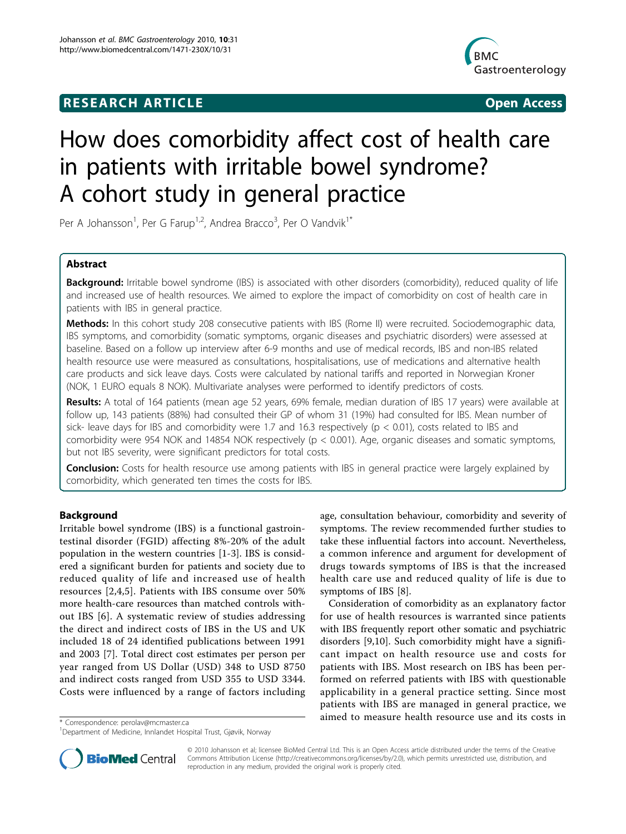# **RESEARCH ARTICLE Example 2018 CONSIDERING ACCESS**



# How does comorbidity affect cost of health care in patients with irritable bowel syndrome? A cohort study in general practice

Per A Johansson<sup>1</sup>, Per G Farup<sup>1,2</sup>, Andrea Bracco<sup>3</sup>, Per O Vandvik<sup>1\*</sup>

# Abstract

**Background:** Irritable bowel syndrome (IBS) is associated with other disorders (comorbidity), reduced quality of life and increased use of health resources. We aimed to explore the impact of comorbidity on cost of health care in patients with IBS in general practice.

Methods: In this cohort study 208 consecutive patients with IBS (Rome II) were recruited. Sociodemographic data, IBS symptoms, and comorbidity (somatic symptoms, organic diseases and psychiatric disorders) were assessed at baseline. Based on a follow up interview after 6-9 months and use of medical records, IBS and non-IBS related health resource use were measured as consultations, hospitalisations, use of medications and alternative health care products and sick leave days. Costs were calculated by national tariffs and reported in Norwegian Kroner (NOK, 1 EURO equals 8 NOK). Multivariate analyses were performed to identify predictors of costs.

Results: A total of 164 patients (mean age 52 years, 69% female, median duration of IBS 17 years) were available at follow up, 143 patients (88%) had consulted their GP of whom 31 (19%) had consulted for IBS. Mean number of sick- leave days for IBS and comorbidity were 1.7 and 16.3 respectively ( $p < 0.01$ ), costs related to IBS and comorbidity were 954 NOK and 14854 NOK respectively ( $p < 0.001$ ). Age, organic diseases and somatic symptoms, but not IBS severity, were significant predictors for total costs.

Conclusion: Costs for health resource use among patients with IBS in general practice were largely explained by comorbidity, which generated ten times the costs for IBS.

# Background

Irritable bowel syndrome (IBS) is a functional gastrointestinal disorder (FGID) affecting 8%-20% of the adult population in the western countries [\[1](#page-5-0)-[3\]](#page-5-0). IBS is considered a significant burden for patients and society due to reduced quality of life and increased use of health resources [[2,4](#page-5-0),[5\]](#page-5-0). Patients with IBS consume over 50% more health-care resources than matched controls without IBS [[6](#page-5-0)]. A systematic review of studies addressing the direct and indirect costs of IBS in the US and UK included 18 of 24 identified publications between 1991 and 2003 [[7\]](#page-5-0). Total direct cost estimates per person per year ranged from US Dollar (USD) 348 to USD 8750 and indirect costs ranged from USD 355 to USD 3344. Costs were influenced by a range of factors including

age, consultation behaviour, comorbidity and severity of symptoms. The review recommended further studies to take these influential factors into account. Nevertheless, a common inference and argument for development of drugs towards symptoms of IBS is that the increased health care use and reduced quality of life is due to symptoms of IBS [\[8](#page-5-0)].

Consideration of comorbidity as an explanatory factor for use of health resources is warranted since patients with IBS frequently report other somatic and psychiatric disorders [\[9](#page-5-0),[10](#page-5-0)]. Such comorbidity might have a significant impact on health resource use and costs for patients with IBS. Most research on IBS has been performed on referred patients with IBS with questionable applicability in a general practice setting. Since most patients with IBS are managed in general practice, we \* Correspondence: [perolav@mcmaster.ca](mailto:perolav@mcmaster.ca) **and the source in the source use and its costs in** \* Correspondence: perolav@mcmaster.ca



© 2010 Johansson et al; licensee BioMed Central Ltd. This is an Open Access article distributed under the terms of the Creative Commons Attribution License [\(http://creativecommons.org/licenses/by/2.0](http://creativecommons.org/licenses/by/2.0)), which permits unrestricted use, distribution, and reproduction in any medium, provided the original work is properly cited.

<sup>1</sup> Department of Medicine, Innlandet Hospital Trust, Gjøvik, Norway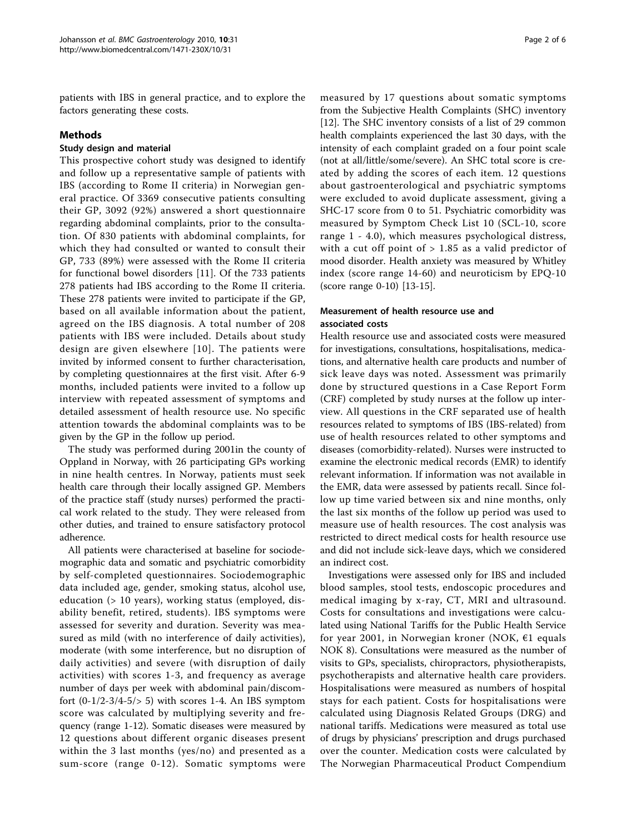patients with IBS in general practice, and to explore the factors generating these costs.

# Methods

#### Study design and material

This prospective cohort study was designed to identify and follow up a representative sample of patients with IBS (according to Rome II criteria) in Norwegian general practice. Of 3369 consecutive patients consulting their GP, 3092 (92%) answered a short questionnaire regarding abdominal complaints, prior to the consultation. Of 830 patients with abdominal complaints, for which they had consulted or wanted to consult their GP, 733 (89%) were assessed with the Rome II criteria for functional bowel disorders [[11](#page-5-0)]. Of the 733 patients 278 patients had IBS according to the Rome II criteria. These 278 patients were invited to participate if the GP, based on all available information about the patient, agreed on the IBS diagnosis. A total number of 208 patients with IBS were included. Details about study design are given elsewhere [[10\]](#page-5-0). The patients were invited by informed consent to further characterisation, by completing questionnaires at the first visit. After 6-9 months, included patients were invited to a follow up interview with repeated assessment of symptoms and detailed assessment of health resource use. No specific attention towards the abdominal complaints was to be given by the GP in the follow up period.

The study was performed during 2001in the county of Oppland in Norway, with 26 participating GPs working in nine health centres. In Norway, patients must seek health care through their locally assigned GP. Members of the practice staff (study nurses) performed the practical work related to the study. They were released from other duties, and trained to ensure satisfactory protocol adherence.

All patients were characterised at baseline for sociodemographic data and somatic and psychiatric comorbidity by self-completed questionnaires. Sociodemographic data included age, gender, smoking status, alcohol use, education (> 10 years), working status (employed, disability benefit, retired, students). IBS symptoms were assessed for severity and duration. Severity was measured as mild (with no interference of daily activities), moderate (with some interference, but no disruption of daily activities) and severe (with disruption of daily activities) with scores 1-3, and frequency as average number of days per week with abdominal pain/discomfort  $(0-1/2-3/4-5/5)$  with scores 1-4. An IBS symptom score was calculated by multiplying severity and frequency (range 1-12). Somatic diseases were measured by 12 questions about different organic diseases present within the 3 last months (yes/no) and presented as a sum-score (range 0-12). Somatic symptoms were measured by 17 questions about somatic symptoms from the Subjective Health Complaints (SHC) inventory [[12\]](#page-5-0). The SHC inventory consists of a list of 29 common health complaints experienced the last 30 days, with the intensity of each complaint graded on a four point scale (not at all/little/some/severe). An SHC total score is created by adding the scores of each item. 12 questions about gastroenterological and psychiatric symptoms were excluded to avoid duplicate assessment, giving a SHC-17 score from 0 to 51. Psychiatric comorbidity was measured by Symptom Check List 10 (SCL-10, score range 1 - 4.0), which measures psychological distress, with a cut off point of  $> 1.85$  as a valid predictor of mood disorder. Health anxiety was measured by Whitley index (score range 14-60) and neuroticism by EPQ-10 (score range 0-10) [[13-15\]](#page-5-0).

# Measurement of health resource use and associated costs

Health resource use and associated costs were measured for investigations, consultations, hospitalisations, medications, and alternative health care products and number of sick leave days was noted. Assessment was primarily done by structured questions in a Case Report Form (CRF) completed by study nurses at the follow up interview. All questions in the CRF separated use of health resources related to symptoms of IBS (IBS-related) from use of health resources related to other symptoms and diseases (comorbidity-related). Nurses were instructed to examine the electronic medical records (EMR) to identify relevant information. If information was not available in the EMR, data were assessed by patients recall. Since follow up time varied between six and nine months, only the last six months of the follow up period was used to measure use of health resources. The cost analysis was restricted to direct medical costs for health resource use and did not include sick-leave days, which we considered an indirect cost.

Investigations were assessed only for IBS and included blood samples, stool tests, endoscopic procedures and medical imaging by x-ray, CT, MRI and ultrasound. Costs for consultations and investigations were calculated using National Tariffs for the Public Health Service for year 2001, in Norwegian kroner (NOK,  $\epsilon$ 1 equals NOK 8). Consultations were measured as the number of visits to GPs, specialists, chiropractors, physiotherapists, psychotherapists and alternative health care providers. Hospitalisations were measured as numbers of hospital stays for each patient. Costs for hospitalisations were calculated using Diagnosis Related Groups (DRG) and national tariffs. Medications were measured as total use of drugs by physicians' prescription and drugs purchased over the counter. Medication costs were calculated by The Norwegian Pharmaceutical Product Compendium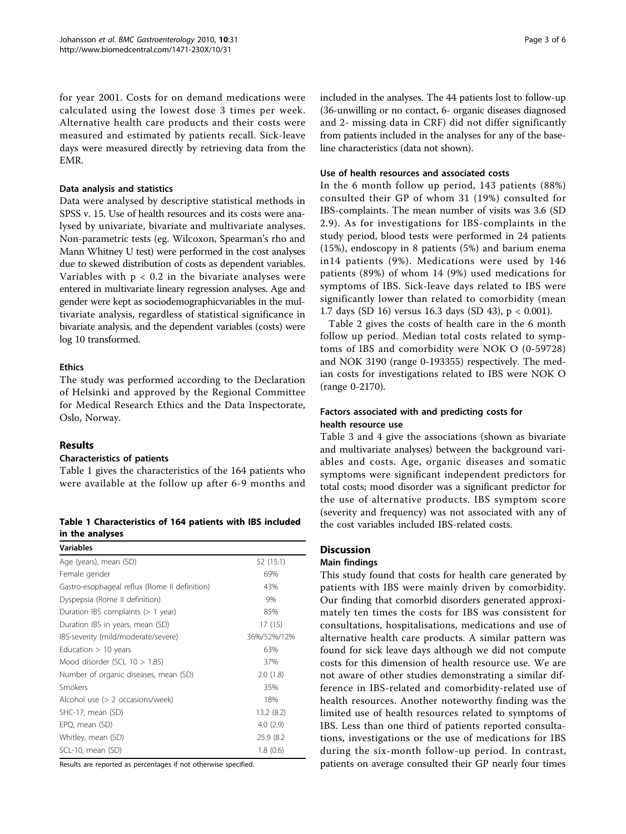for year 2001. Costs for on demand medications were calculated using the lowest dose 3 times per week. Alternative health care products and their costs were measured and estimated by patients recall. Sick-leave days were measured directly by retrieving data from the EMR.

#### Data analysis and statistics

Data were analysed by descriptive statistical methods in SPSS v. 15. Use of health resources and its costs were analysed by univariate, bivariate and multivariate analyses. Non-parametric tests (eg. Wilcoxon, Spearman's rho and Mann Whitney U test) were performed in the cost analyses due to skewed distribution of costs as dependent variables. Variables with  $p < 0.2$  in the bivariate analyses were entered in multivariate lineary regression analyses. Age and gender were kept as sociodemographicvariables in the multivariate analysis, regardless of statistical significance in bivariate analysis, and the dependent variables (costs) were log 10 transformed.

# Ethics

The study was performed according to the Declaration of Helsinki and approved by the Regional Committee for Medical Research Ethics and the Data Inspectorate, Oslo, Norway.

# Results

#### Characteristics of patients

Table 1 gives the characteristics of the 164 patients who were available at the follow up after 6-9 months and

Table 1 Characteristics of 164 patients with IBS included in the analyses

| <b>Variables</b>                              |             |
|-----------------------------------------------|-------------|
| Age (years), mean (SD)                        | 52 (15.1)   |
| Female gender                                 | 69%         |
| Gastro-esophageal reflux (Rome II definition) | 43%         |
| Dyspepsia (Rome II definition)                | 9%          |
| Duration IBS complaints (> 1 year)            | 85%         |
| Duration IBS in years, mean (SD)              | 17(15)      |
| IBS-severity (mild/moderate/severe)           | 36%/52%/12% |
| Education $> 10$ years                        | 63%         |
| Mood disorder (SCL $10 > 1.85$ )              | 37%         |
| Number of organic diseases, mean (SD)         | 2.0(1.8)    |
| Smokers                                       | 35%         |
| Alcohol use (> 2 occasions/week)              | 18%         |
| SHC-17, mean (SD)                             | 13.2 (8.2)  |
| EPQ, mean (SD)                                | 4.0(2.9)    |
| Whitley, mean (SD)                            | 25.9 (8.2)  |
| SCL-10, mean (SD)                             | 1.8(0.6)    |

Results are reported as percentages if not otherwise specified.

included in the analyses. The 44 patients lost to follow-up (36-unwilling or no contact, 6- organic diseases diagnosed and 2- missing data in CRF) did not differ significantly from patients included in the analyses for any of the baseline characteristics (data not shown).

#### Use of health resources and associated costs

In the 6 month follow up period, 143 patients (88%) consulted their GP of whom 31 (19%) consulted for IBS-complaints. The mean number of visits was 3.6 (SD 2.9). As for investigations for IBS-complaints in the study period, blood tests were performed in 24 patients (15%), endoscopy in 8 patients (5%) and barium enema in14 patients (9%). Medications were used by 146 patients (89%) of whom 14 (9%) used medications for symptoms of IBS. Sick-leave days related to IBS were significantly lower than related to comorbidity (mean 1.7 days (SD 16) versus 16.3 days (SD 43), p < 0.001).

Table [2](#page-3-0) gives the costs of health care in the 6 month follow up period. Median total costs related to symptoms of IBS and comorbidity were NOK O (0-59728) and NOK 3190 (range 0-193355) respectively. The median costs for investigations related to IBS were NOK O (range 0-2170).

# Factors associated with and predicting costs for health resource use

Table [3](#page-3-0) and [4](#page-4-0) give the associations (shown as bivariate and multivariate analyses) between the background variables and costs. Age, organic diseases and somatic symptoms were significant independent predictors for total costs; mood disorder was a significant predictor for the use of alternative products. IBS symptom score (severity and frequency) was not associated with any of the cost variables included IBS-related costs.

# **Discussion**

#### Main findings

This study found that costs for health care generated by patients with IBS were mainly driven by comorbidity. Our finding that comorbid disorders generated approximately ten times the costs for IBS was consistent for consultations, hospitalisations, medications and use of alternative health care products. A similar pattern was found for sick leave days although we did not compute costs for this dimension of health resource use. We are not aware of other studies demonstrating a similar difference in IBS-related and comorbidity-related use of health resources. Another noteworthy finding was the limited use of health resources related to symptoms of IBS. Less than one third of patients reported consultations, investigations or the use of medications for IBS during the six-month follow-up period. In contrast, patients on average consulted their GP nearly four times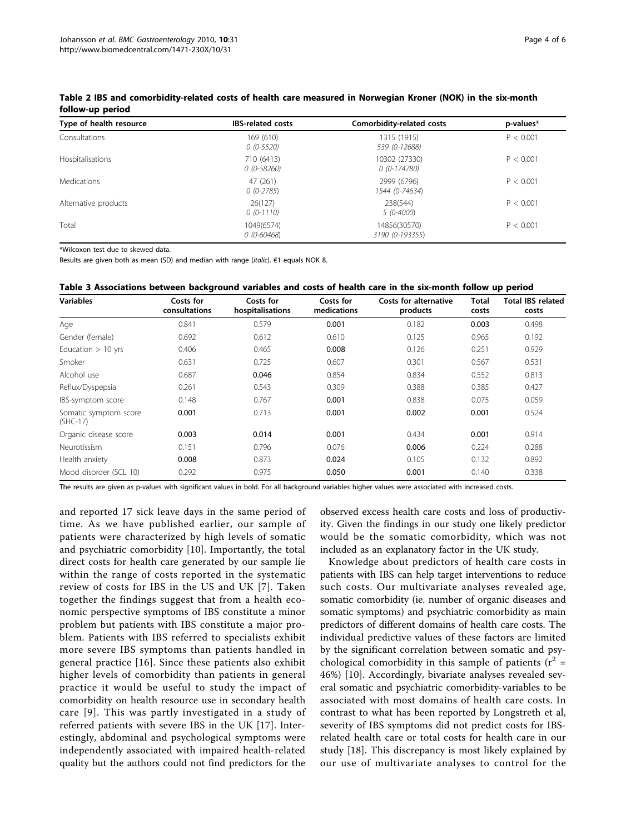| Type of health resource | <b>IBS-related costs</b>     | Comorbidity-related costs       | p-values* |
|-------------------------|------------------------------|---------------------------------|-----------|
| Consultations           | 169 (610)<br>$0(0-5520)$     | 1315 (1915)<br>539 (0-12688)    | P < 0.001 |
| Hospitalisations        | 710 (6413)<br>$0(0-58260)$   | 10302 (27330)<br>$0(0-174780)$  | P < 0.001 |
| Medications             | 47 (261)<br>$0(0-2785)$      | 2999 (6796)<br>1544 (0-74634)   | P < 0.001 |
| Alternative products    | 26(127)<br>$0(0-1110)$       | 238(544)<br>5 (0-4000)          | P < 0.001 |
| Total                   | 1049(6574)<br>$0(0 - 60468)$ | 14856(30570)<br>3190 (0-193355) | P < 0.001 |

<span id="page-3-0"></span>Table 2 IBS and comorbidity-related costs of health care measured in Norwegian Kroner (NOK) in the six-month follow-up period

\*Wilcoxon test due to skewed data.

Results are given both as mean (SD) and median with range (italic). €1 equals NOK 8.

|  | Table 3 Associations between background variables and costs of health care in the six-month follow up period |
|--|--------------------------------------------------------------------------------------------------------------|
|--|--------------------------------------------------------------------------------------------------------------|

| <b>Variables</b>                    | Costs for<br>consultations | Costs for<br>hospitalisations | Costs for<br>medications | <b>Costs for alternative</b><br>products | <b>Total</b><br>costs | <b>Total IBS related</b><br>costs |
|-------------------------------------|----------------------------|-------------------------------|--------------------------|------------------------------------------|-----------------------|-----------------------------------|
| Age                                 | 0.841                      | 0.579                         | 0.001                    | 0.182                                    | 0.003                 | 0.498                             |
| Gender (female)                     | 0.692                      | 0.612                         | 0.610                    | 0.125                                    | 0.965                 | 0.192                             |
| Education $> 10$ yrs                | 0.406                      | 0.465                         | 0.008                    | 0.126                                    | 0.251                 | 0.929                             |
| Smoker                              | 0.631                      | 0.725                         | 0.607                    | 0.301                                    | 0.567                 | 0.531                             |
| Alcohol use                         | 0.687                      | 0.046                         | 0.854                    | 0.834                                    | 0.552                 | 0.813                             |
| Reflux/Dyspepsia                    | 0.261                      | 0.543                         | 0.309                    | 0.388                                    | 0.385                 | 0.427                             |
| IBS-symptom score                   | 0.148                      | 0.767                         | 0.001                    | 0.838                                    | 0.075                 | 0.059                             |
| Somatic symptom score<br>$(SHC-17)$ | 0.001                      | 0.713                         | 0.001                    | 0.002                                    | 0.001                 | 0.524                             |
| Organic disease score               | 0.003                      | 0.014                         | 0.001                    | 0.434                                    | 0.001                 | 0.914                             |
| Neurotissism                        | 0.151                      | 0.796                         | 0.076                    | 0.006                                    | 0.224                 | 0.288                             |
| Health anxiety                      | 0.008                      | 0.873                         | 0.024                    | 0.105                                    | 0.132                 | 0.892                             |
| Mood disorder (SCL 10)              | 0.292                      | 0.975                         | 0.050                    | 0.001                                    | 0.140                 | 0.338                             |

The results are given as p-values with significant values in bold. For all background variables higher values were associated with increased costs.

and reported 17 sick leave days in the same period of time. As we have published earlier, our sample of patients were characterized by high levels of somatic and psychiatric comorbidity [[10\]](#page-5-0). Importantly, the total direct costs for health care generated by our sample lie within the range of costs reported in the systematic review of costs for IBS in the US and UK [[7](#page-5-0)]. Taken together the findings suggest that from a health economic perspective symptoms of IBS constitute a minor problem but patients with IBS constitute a major problem. Patients with IBS referred to specialists exhibit more severe IBS symptoms than patients handled in general practice [[16](#page-5-0)]. Since these patients also exhibit higher levels of comorbidity than patients in general practice it would be useful to study the impact of comorbidity on health resource use in secondary health care [[9\]](#page-5-0). This was partly investigated in a study of referred patients with severe IBS in the UK [\[17](#page-5-0)]. Interestingly, abdominal and psychological symptoms were independently associated with impaired health-related quality but the authors could not find predictors for the

observed excess health care costs and loss of productivity. Given the findings in our study one likely predictor would be the somatic comorbidity, which was not included as an explanatory factor in the UK study.

Knowledge about predictors of health care costs in patients with IBS can help target interventions to reduce such costs. Our multivariate analyses revealed age, somatic comorbidity (ie. number of organic diseases and somatic symptoms) and psychiatric comorbidity as main predictors of different domains of health care costs. The individual predictive values of these factors are limited by the significant correlation between somatic and psychological comorbidity in this sample of patients ( $r^2$  = 46%) [[10\]](#page-5-0). Accordingly, bivariate analyses revealed several somatic and psychiatric comorbidity-variables to be associated with most domains of health care costs. In contrast to what has been reported by Longstreth et al, severity of IBS symptoms did not predict costs for IBSrelated health care or total costs for health care in our study [[18\]](#page-5-0). This discrepancy is most likely explained by our use of multivariate analyses to control for the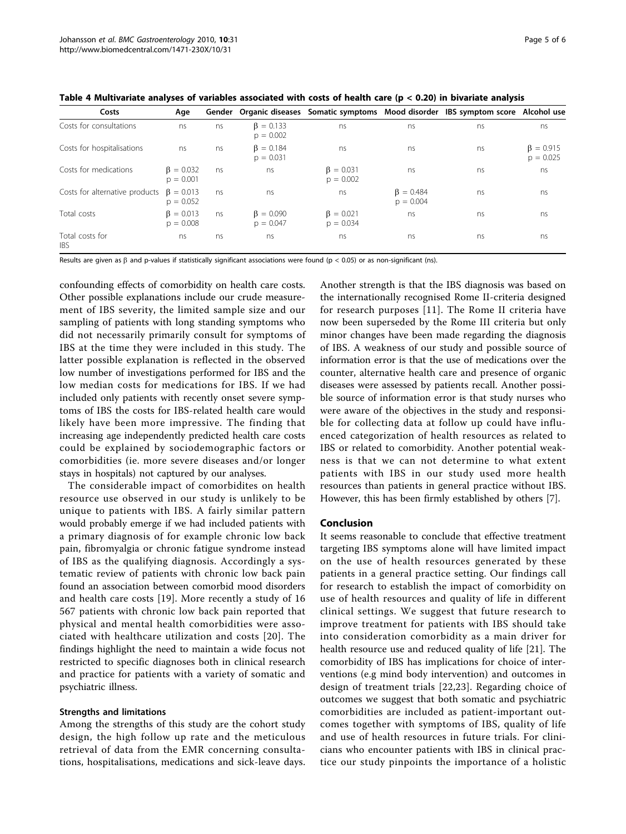<span id="page-4-0"></span>

|  |  |  | Table 4 Multivariate analyses of variables associated with costs of health care ( $p < 0.20$ ) in bivariate analysis |
|--|--|--|----------------------------------------------------------------------------------------------------------------------|
|--|--|--|----------------------------------------------------------------------------------------------------------------------|

| Costs                          | Age                            |    |                                |                                |                                | Gender Organic diseases Somatic symptoms Mood disorder IBS symptom score Alcohol use |                                |
|--------------------------------|--------------------------------|----|--------------------------------|--------------------------------|--------------------------------|--------------------------------------------------------------------------------------|--------------------------------|
| Costs for consultations        | ns                             | ns | $\beta = 0.133$<br>$p = 0.002$ | ns                             | ns                             | ns                                                                                   | ns                             |
| Costs for hospitalisations     | ns                             | ns | $\beta = 0.184$<br>$p = 0.031$ | ns                             | ns                             | ns                                                                                   | $\beta = 0.915$<br>$p = 0.025$ |
| Costs for medications          | $\beta = 0.032$<br>$p = 0.001$ | ns | ns                             | $\beta = 0.031$<br>$p = 0.002$ | ns                             | ns                                                                                   | ns                             |
| Costs for alternative products | $\beta = 0.013$<br>$p = 0.052$ | ns | ns                             | ns                             | $\beta = 0.484$<br>$p = 0.004$ | ns                                                                                   | ns                             |
| Total costs                    | $\beta = 0.013$<br>$p = 0.008$ | ns | $\beta = 0.090$<br>$p = 0.047$ | $\beta = 0.021$<br>$p = 0.034$ | ns                             | ns                                                                                   | ns                             |
| Total costs for<br><b>IBS</b>  | ns                             | ns | ns                             | ns                             | ns                             | ns                                                                                   | ns                             |

Results are given as  $\beta$  and p-values if statistically significant associations were found (p < 0.05) or as non-significant (ns).

confounding effects of comorbidity on health care costs. Other possible explanations include our crude measurement of IBS severity, the limited sample size and our sampling of patients with long standing symptoms who did not necessarily primarily consult for symptoms of IBS at the time they were included in this study. The latter possible explanation is reflected in the observed low number of investigations performed for IBS and the low median costs for medications for IBS. If we had included only patients with recently onset severe symptoms of IBS the costs for IBS-related health care would likely have been more impressive. The finding that increasing age independently predicted health care costs could be explained by sociodemographic factors or comorbidities (ie. more severe diseases and/or longer stays in hospitals) not captured by our analyses.

The considerable impact of comorbidites on health resource use observed in our study is unlikely to be unique to patients with IBS. A fairly similar pattern would probably emerge if we had included patients with a primary diagnosis of for example chronic low back pain, fibromyalgia or chronic fatigue syndrome instead of IBS as the qualifying diagnosis. Accordingly a systematic review of patients with chronic low back pain found an association between comorbid mood disorders and health care costs [[19](#page-5-0)]. More recently a study of 16 567 patients with chronic low back pain reported that physical and mental health comorbidities were associated with healthcare utilization and costs [[20](#page-5-0)]. The findings highlight the need to maintain a wide focus not restricted to specific diagnoses both in clinical research and practice for patients with a variety of somatic and psychiatric illness.

#### Strengths and limitations

Among the strengths of this study are the cohort study design, the high follow up rate and the meticulous retrieval of data from the EMR concerning consultations, hospitalisations, medications and sick-leave days.

Another strength is that the IBS diagnosis was based on the internationally recognised Rome II-criteria designed for research purposes [[11](#page-5-0)]. The Rome II criteria have now been superseded by the Rome III criteria but only minor changes have been made regarding the diagnosis of IBS. A weakness of our study and possible source of information error is that the use of medications over the counter, alternative health care and presence of organic diseases were assessed by patients recall. Another possible source of information error is that study nurses who were aware of the objectives in the study and responsible for collecting data at follow up could have influenced categorization of health resources as related to IBS or related to comorbidity. Another potential weakness is that we can not determine to what extent patients with IBS in our study used more health resources than patients in general practice without IBS. However, this has been firmly established by others [\[7\]](#page-5-0).

#### Conclusion

It seems reasonable to conclude that effective treatment targeting IBS symptoms alone will have limited impact on the use of health resources generated by these patients in a general practice setting. Our findings call for research to establish the impact of comorbidity on use of health resources and quality of life in different clinical settings. We suggest that future research to improve treatment for patients with IBS should take into consideration comorbidity as a main driver for health resource use and reduced quality of life [[21\]](#page-5-0). The comorbidity of IBS has implications for choice of interventions (e.g mind body intervention) and outcomes in design of treatment trials [[22](#page-5-0),[23\]](#page-5-0). Regarding choice of outcomes we suggest that both somatic and psychiatric comorbidities are included as patient-important outcomes together with symptoms of IBS, quality of life and use of health resources in future trials. For clinicians who encounter patients with IBS in clinical practice our study pinpoints the importance of a holistic